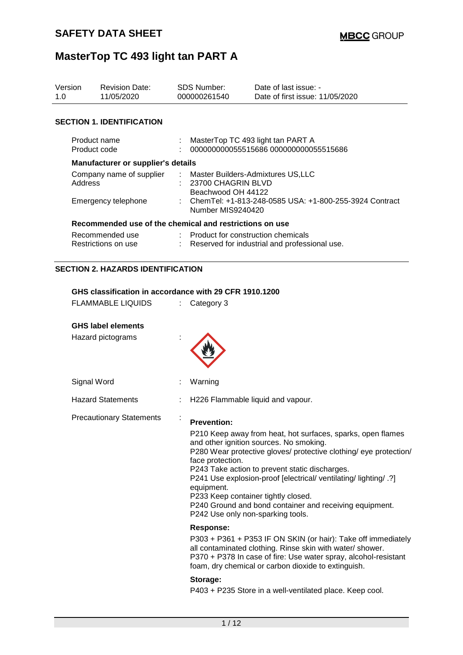| Version<br>1.0 | <b>Revision Date:</b><br>11/05/2020                     |   | <b>SDS Number:</b><br>000000261540                                                  | Date of last issue: -<br>Date of first issue: 11/05/2020                                               |  |  |
|----------------|---------------------------------------------------------|---|-------------------------------------------------------------------------------------|--------------------------------------------------------------------------------------------------------|--|--|
|                | <b>SECTION 1. IDENTIFICATION</b>                        |   |                                                                                     |                                                                                                        |  |  |
|                | Product name<br>Product code                            |   |                                                                                     | MasterTop TC 493 light tan PART A<br>000000000055515686 000000000055515686                             |  |  |
|                | <b>Manufacturer or supplier's details</b>               |   |                                                                                     |                                                                                                        |  |  |
|                | Company name of supplier<br>Address                     |   | 23700 CHAGRIN BLVD<br>Beachwood OH 44122                                            | Master Builders-Admixtures US, LLC                                                                     |  |  |
|                | Emergency telephone                                     |   | Number MIS9240420                                                                   | ChemTel: +1-813-248-0585 USA: +1-800-255-3924 Contract                                                 |  |  |
|                | Recommended use of the chemical and restrictions on use |   |                                                                                     |                                                                                                        |  |  |
|                | Recommended use<br>Restrictions on use                  |   | Product for construction chemicals<br>Reserved for industrial and professional use. |                                                                                                        |  |  |
|                | <b>SECTION 2. HAZARDS IDENTIFICATION</b>                |   |                                                                                     |                                                                                                        |  |  |
|                | GHS classification in accordance with 29 CFR 1910.1200  |   |                                                                                     |                                                                                                        |  |  |
|                | <b>FLAMMABLE LIQUIDS</b>                                | ÷ | Category 3                                                                          |                                                                                                        |  |  |
|                | <b>GHS label elements</b>                               |   |                                                                                     |                                                                                                        |  |  |
|                | Hazard pictograms                                       |   |                                                                                     |                                                                                                        |  |  |
|                | Signal Word                                             |   | Warning                                                                             |                                                                                                        |  |  |
|                | <b>Hazard Statements</b>                                |   |                                                                                     | H226 Flammable liquid and vapour.                                                                      |  |  |
|                | <b>Precautionary Statements</b>                         |   | <b>Prevention:</b>                                                                  | P210 Keep away from heat, hot surfaces, sparks, open flames<br>and other ignition sources. No smoking. |  |  |

P280 Wear protective gloves/ protective clothing/ eye protection/ face protection.

P243 Take action to prevent static discharges.

P241 Use explosion-proof [electrical/ ventilating/ lighting/ .?] equipment.

P233 Keep container tightly closed. P240 Ground and bond container and receiving equipment. P242 Use only non-sparking tools.

## **Response:**

P303 + P361 + P353 IF ON SKIN (or hair): Take off immediately all contaminated clothing. Rinse skin with water/ shower. P370 + P378 In case of fire: Use water spray, alcohol-resistant foam, dry chemical or carbon dioxide to extinguish.

#### **Storage:**

P403 + P235 Store in a well-ventilated place. Keep cool.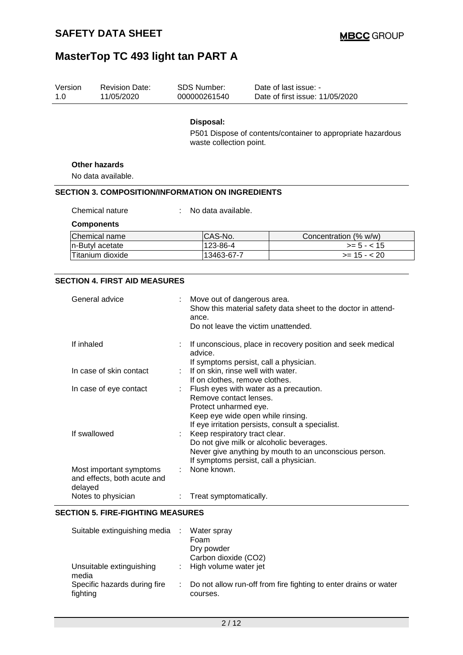| Version<br>1.0 | <b>Revision Date:</b><br>11/05/2020                      | <b>SDS Number:</b><br>000000261540                                                                                                                                                  |  | Date of last issue: -<br>Date of first issue: 11/05/2020    |  |  |
|----------------|----------------------------------------------------------|-------------------------------------------------------------------------------------------------------------------------------------------------------------------------------------|--|-------------------------------------------------------------|--|--|
|                |                                                          | Disposal:<br>waste collection point.                                                                                                                                                |  | P501 Dispose of contents/container to appropriate hazardous |  |  |
|                | <b>Other hazards</b><br>No data available.               |                                                                                                                                                                                     |  |                                                             |  |  |
|                | <b>SECTION 3. COMPOSITION/INFORMATION ON INGREDIENTS</b> |                                                                                                                                                                                     |  |                                                             |  |  |
|                |                                                          |                                                                                                                                                                                     |  |                                                             |  |  |
|                | Chemical nature                                          | No data available.                                                                                                                                                                  |  |                                                             |  |  |
|                | <b>Components</b>                                        |                                                                                                                                                                                     |  |                                                             |  |  |
|                | Chemical name                                            | CAS-No.                                                                                                                                                                             |  | Concentration (% w/w)                                       |  |  |
|                | n-Butyl acetate                                          | 123-86-4                                                                                                                                                                            |  | $>= 5 - < 15$                                               |  |  |
|                | Titanium dioxide                                         | 13463-67-7                                                                                                                                                                          |  | $>= 15 - 20$                                                |  |  |
|                | <b>SECTION 4. FIRST AID MEASURES</b><br>General advice   | Move out of dangerous area.<br>Show this material safety data sheet to the doctor in attend-<br>ance.<br>Do not leave the victim unattended.                                        |  |                                                             |  |  |
| If inhaled     |                                                          | If unconscious, place in recovery position and seek medical<br>advice.<br>If symptoms persist, call a physician.                                                                    |  |                                                             |  |  |
|                | In case of skin contact                                  | If on skin, rinse well with water.<br>If on clothes, remove clothes.                                                                                                                |  |                                                             |  |  |
|                | In case of eye contact                                   | Flush eyes with water as a precaution.<br>Remove contact lenses.<br>Protect unharmed eye.<br>Keep eye wide open while rinsing.<br>If eye irritation persists, consult a specialist. |  |                                                             |  |  |
|                | If swallowed                                             | Keep respiratory tract clear.                                                                                                                                                       |  | Do not give milk or alcoholic beverages.                    |  |  |

|                                                                   | Never give anything by mouth to an unconscious person.<br>If symptoms persist, call a physician. |
|-------------------------------------------------------------------|--------------------------------------------------------------------------------------------------|
| Most important symptoms<br>and effects, both acute and<br>delayed | None known.                                                                                      |
| Notes to physician                                                | : Treat symptomatically.                                                                         |

#### **SECTION 5. FIRE-FIGHTING MEASURES**

| Suitable extinguishing media :           | Water spray<br>Foam<br>Dry powder<br>Carbon dioxide (CO2)                      |
|------------------------------------------|--------------------------------------------------------------------------------|
| Unsuitable extinguishing<br>media        | : High volume water jet                                                        |
| Specific hazards during fire<br>fighting | : Do not allow run-off from fire fighting to enter drains or water<br>courses. |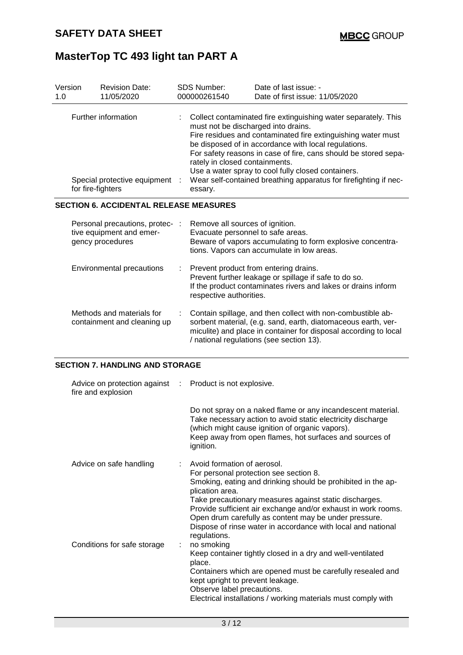| Version<br>1.0 |                   | <b>Revision Date:</b><br>11/05/2020                                             |   | <b>SDS Number:</b><br>000000261540                                                                                                                                                                                                                                                                                                                                                                                                                                      | Date of last issue: -<br>Date of first issue: 11/05/2020                                                                                                                                                                                     |  |  |
|----------------|-------------------|---------------------------------------------------------------------------------|---|-------------------------------------------------------------------------------------------------------------------------------------------------------------------------------------------------------------------------------------------------------------------------------------------------------------------------------------------------------------------------------------------------------------------------------------------------------------------------|----------------------------------------------------------------------------------------------------------------------------------------------------------------------------------------------------------------------------------------------|--|--|
|                | for fire-fighters | Further information<br>Special protective equipment                             |   | Collect contaminated fire extinguishing water separately. This<br>must not be discharged into drains.<br>Fire residues and contaminated fire extinguishing water must<br>be disposed of in accordance with local regulations.<br>For safety reasons in case of fire, cans should be stored sepa-<br>rately in closed containments.<br>Use a water spray to cool fully closed containers.<br>Wear self-contained breathing apparatus for firefighting if nec-<br>essary. |                                                                                                                                                                                                                                              |  |  |
|                |                   | <b>SECTION 6. ACCIDENTAL RELEASE MEASURES</b>                                   |   |                                                                                                                                                                                                                                                                                                                                                                                                                                                                         |                                                                                                                                                                                                                                              |  |  |
|                |                   | Personal precautions, protec- :<br>tive equipment and emer-<br>gency procedures |   | Remove all sources of ignition.<br>Evacuate personnel to safe areas.                                                                                                                                                                                                                                                                                                                                                                                                    | Beware of vapors accumulating to form explosive concentra-<br>tions. Vapors can accumulate in low areas.                                                                                                                                     |  |  |
|                |                   | Environmental precautions                                                       |   | respective authorities.                                                                                                                                                                                                                                                                                                                                                                                                                                                 | Prevent product from entering drains.<br>Prevent further leakage or spillage if safe to do so.<br>If the product contaminates rivers and lakes or drains inform                                                                              |  |  |
|                |                   | Methods and materials for<br>containment and cleaning up                        |   |                                                                                                                                                                                                                                                                                                                                                                                                                                                                         | Contain spillage, and then collect with non-combustible ab-<br>sorbent material, (e.g. sand, earth, diatomaceous earth, ver-<br>miculite) and place in container for disposal according to local<br>/ national regulations (see section 13). |  |  |
|                |                   | <b>SECTION 7. HANDLING AND STORAGE</b>                                          |   |                                                                                                                                                                                                                                                                                                                                                                                                                                                                         |                                                                                                                                                                                                                                              |  |  |
|                |                   | Advice on protection against<br>fire and explosion                              | ÷ | Product is not explosive.                                                                                                                                                                                                                                                                                                                                                                                                                                               |                                                                                                                                                                                                                                              |  |  |
|                |                   |                                                                                 |   | ignition.                                                                                                                                                                                                                                                                                                                                                                                                                                                               | Do not spray on a naked flame or any incandescent material.<br>Take necessary action to avoid static electricity discharge<br>(which might cause ignition of organic vapors).<br>Keep away from open flames, hot surfaces and sources of     |  |  |
|                |                   | Advice on safe handling                                                         |   | Avoid formation of aerosol.<br>plication area.                                                                                                                                                                                                                                                                                                                                                                                                                          | For personal protection see section 8.<br>Smoking, eating and drinking should be prohibited in the ap-<br>Take precautionary measures against static discharges.<br>Provide sufficient air exchange and/or exhaust in work rooms.            |  |  |

Dispose of rinse water in accordance with local and national regulations.<br>no smoking Conditions for safe storage : Keep container tightly closed in a dry and well-ventilated place. Containers which are opened must be carefully resealed and kept upright to prevent leakage.

Observe label precautions.

Electrical installations / working materials must comply with

Open drum carefully as content may be under pressure.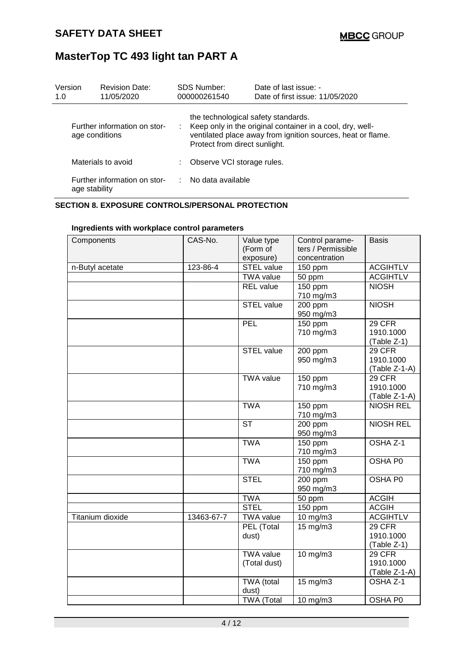| Version<br>1.0 | <b>Revision Date:</b><br>11/05/2020            | SDS Number:<br>000000261540                                          | Date of last issue: -<br>Date of first issue: 11/05/2020                                                                   |
|----------------|------------------------------------------------|----------------------------------------------------------------------|----------------------------------------------------------------------------------------------------------------------------|
|                | Further information on stor-<br>age conditions | the technological safety standards.<br>Protect from direct sunlight. | : Keep only in the original container in a cool, dry, well-<br>ventilated place away from ignition sources, heat or flame. |
|                | Materials to avoid                             | Observe VCI storage rules.                                           |                                                                                                                            |
|                | Further information on stor-<br>age stability  | ∴ No data available                                                  |                                                                                                                            |

### **SECTION 8. EXPOSURE CONTROLS/PERSONAL PROTECTION**

| Components       | CAS-No.    | Value type        | Control parame-    | <b>Basis</b>     |
|------------------|------------|-------------------|--------------------|------------------|
|                  |            | (Form of          | ters / Permissible |                  |
|                  |            | exposure)         | concentration      |                  |
| n-Butyl acetate  | 123-86-4   | <b>STEL</b> value | 150 ppm            | <b>ACGIHTLV</b>  |
|                  |            | <b>TWA value</b>  | 50 ppm             | <b>ACGIHTLV</b>  |
|                  |            | <b>REL</b> value  | 150 ppm            | <b>NIOSH</b>     |
|                  |            |                   | 710 mg/m3          |                  |
|                  |            | <b>STEL value</b> | 200 ppm            | <b>NIOSH</b>     |
|                  |            |                   | 950 mg/m3          |                  |
|                  |            | <b>PEL</b>        | $150$ ppm          | 29 CFR           |
|                  |            |                   | 710 mg/m3          | 1910.1000        |
|                  |            |                   |                    | (Table Z-1)      |
|                  |            | STEL value        | 200 ppm            | 29 CFR           |
|                  |            |                   | 950 mg/m3          | 1910.1000        |
|                  |            |                   |                    | (Table Z-1-A)    |
|                  |            | <b>TWA value</b>  | $150$ ppm          | 29 CFR           |
|                  |            |                   | 710 mg/m3          | 1910.1000        |
|                  |            |                   |                    | (Table Z-1-A)    |
|                  |            | <b>TWA</b>        | 150 ppm            | <b>NIOSH REL</b> |
|                  |            |                   | 710 mg/m3          |                  |
|                  |            | <b>ST</b>         | 200 ppm            | <b>NIOSH REL</b> |
|                  |            |                   | 950 mg/m3          |                  |
|                  |            | <b>TWA</b>        | 150 ppm            | OSHA Z-1         |
|                  |            |                   | 710 mg/m3          |                  |
|                  |            | <b>TWA</b>        | 150 ppm            | OSHA P0          |
|                  |            |                   | 710 mg/m3          |                  |
|                  |            | <b>STEL</b>       | 200 ppm            | <b>OSHA P0</b>   |
|                  |            |                   | 950 mg/m3          |                  |
|                  |            | <b>TWA</b>        | 50 ppm             | <b>ACGIH</b>     |
|                  |            | <b>STEL</b>       | 150 ppm            | <b>ACGIH</b>     |
| Titanium dioxide | 13463-67-7 | <b>TWA value</b>  | 10 mg/m3           | <b>ACGIHTLV</b>  |
|                  |            | PEL (Total        | 15 mg/m3           | 29 CFR           |
|                  |            | dust)             |                    | 1910.1000        |
|                  |            |                   |                    | (Table Z-1)      |
|                  |            | <b>TWA value</b>  | 10 mg/m3           | 29 CFR           |
|                  |            | (Total dust)      |                    | 1910.1000        |
|                  |            |                   |                    | $(Table Z-1-A)$  |
|                  |            | TWA (total        | 15 mg/m3           | OSHA Z-1         |
|                  |            | dust)             |                    |                  |
|                  |            | <b>TWA (Total</b> | $10 \text{ mg/m}$  | OSHA P0          |

### **Ingredients with workplace control parameters**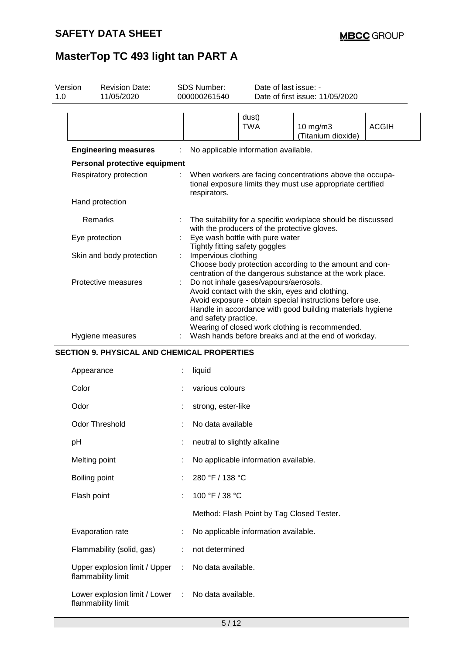| Version<br>1.0 | <b>Revision Date:</b><br>11/05/2020                 |   | SDS Number:<br>000000261540                                                                                                                                                                                                                                                                                                                                                                                                                                                                                                         | Date of last issue: -                                                           | Date of first issue: 11/05/2020                                                                                        |              |  |
|----------------|-----------------------------------------------------|---|-------------------------------------------------------------------------------------------------------------------------------------------------------------------------------------------------------------------------------------------------------------------------------------------------------------------------------------------------------------------------------------------------------------------------------------------------------------------------------------------------------------------------------------|---------------------------------------------------------------------------------|------------------------------------------------------------------------------------------------------------------------|--------------|--|
|                |                                                     |   |                                                                                                                                                                                                                                                                                                                                                                                                                                                                                                                                     | dust)                                                                           |                                                                                                                        |              |  |
|                |                                                     |   |                                                                                                                                                                                                                                                                                                                                                                                                                                                                                                                                     | <b>TWA</b>                                                                      | 10 mg/m3<br>(Titanium dioxide)                                                                                         | <b>ACGIH</b> |  |
|                | <b>Engineering measures</b>                         |   |                                                                                                                                                                                                                                                                                                                                                                                                                                                                                                                                     | No applicable information available.                                            |                                                                                                                        |              |  |
|                | Personal protective equipment                       |   |                                                                                                                                                                                                                                                                                                                                                                                                                                                                                                                                     |                                                                                 |                                                                                                                        |              |  |
|                | Respiratory protection                              |   | respirators.                                                                                                                                                                                                                                                                                                                                                                                                                                                                                                                        |                                                                                 | When workers are facing concentrations above the occupa-<br>tional exposure limits they must use appropriate certified |              |  |
|                | Hand protection                                     |   |                                                                                                                                                                                                                                                                                                                                                                                                                                                                                                                                     |                                                                                 |                                                                                                                        |              |  |
|                | Remarks                                             |   |                                                                                                                                                                                                                                                                                                                                                                                                                                                                                                                                     |                                                                                 | The suitability for a specific workplace should be discussed                                                           |              |  |
|                | Eye protection                                      |   |                                                                                                                                                                                                                                                                                                                                                                                                                                                                                                                                     | with the producers of the protective gloves.<br>Eye wash bottle with pure water |                                                                                                                        |              |  |
|                | Skin and body protection                            |   | Tightly fitting safety goggles<br>Impervious clothing<br>Choose body protection according to the amount and con-<br>centration of the dangerous substance at the work place.<br>Do not inhale gases/vapours/aerosols.<br>Avoid contact with the skin, eyes and clothing.<br>Avoid exposure - obtain special instructions before use.<br>Handle in accordance with good building materials hygiene<br>and safety practice.<br>Wearing of closed work clothing is recommended.<br>Wash hands before breaks and at the end of workday. |                                                                                 |                                                                                                                        |              |  |
|                | Protective measures                                 |   |                                                                                                                                                                                                                                                                                                                                                                                                                                                                                                                                     |                                                                                 |                                                                                                                        |              |  |
|                | Hygiene measures                                    |   |                                                                                                                                                                                                                                                                                                                                                                                                                                                                                                                                     |                                                                                 |                                                                                                                        |              |  |
|                | <b>SECTION 9. PHYSICAL AND CHEMICAL PROPERTIES</b>  |   |                                                                                                                                                                                                                                                                                                                                                                                                                                                                                                                                     |                                                                                 |                                                                                                                        |              |  |
|                | Appearance                                          |   | liquid                                                                                                                                                                                                                                                                                                                                                                                                                                                                                                                              |                                                                                 |                                                                                                                        |              |  |
|                | Color                                               |   | various colours                                                                                                                                                                                                                                                                                                                                                                                                                                                                                                                     |                                                                                 |                                                                                                                        |              |  |
|                | Odor                                                |   | strong, ester-like                                                                                                                                                                                                                                                                                                                                                                                                                                                                                                                  |                                                                                 |                                                                                                                        |              |  |
|                | <b>Odor Threshold</b>                               |   | No data available                                                                                                                                                                                                                                                                                                                                                                                                                                                                                                                   |                                                                                 |                                                                                                                        |              |  |
|                | pH                                                  |   | neutral to slightly alkaline                                                                                                                                                                                                                                                                                                                                                                                                                                                                                                        |                                                                                 |                                                                                                                        |              |  |
|                | Melting point                                       |   |                                                                                                                                                                                                                                                                                                                                                                                                                                                                                                                                     | No applicable information available.                                            |                                                                                                                        |              |  |
|                | Boiling point                                       |   | 280 °F / 138 °C                                                                                                                                                                                                                                                                                                                                                                                                                                                                                                                     |                                                                                 |                                                                                                                        |              |  |
|                | Flash point                                         |   | 100 °F / 38 °C                                                                                                                                                                                                                                                                                                                                                                                                                                                                                                                      |                                                                                 |                                                                                                                        |              |  |
|                |                                                     |   |                                                                                                                                                                                                                                                                                                                                                                                                                                                                                                                                     | Method: Flash Point by Tag Closed Tester.                                       |                                                                                                                        |              |  |
|                | Evaporation rate                                    |   |                                                                                                                                                                                                                                                                                                                                                                                                                                                                                                                                     | No applicable information available.                                            |                                                                                                                        |              |  |
|                | Flammability (solid, gas)                           |   | not determined                                                                                                                                                                                                                                                                                                                                                                                                                                                                                                                      |                                                                                 |                                                                                                                        |              |  |
|                | Upper explosion limit / Upper<br>flammability limit |   | No data available.                                                                                                                                                                                                                                                                                                                                                                                                                                                                                                                  |                                                                                 |                                                                                                                        |              |  |
|                | Lower explosion limit / Lower<br>flammability limit | ÷ | No data available.                                                                                                                                                                                                                                                                                                                                                                                                                                                                                                                  |                                                                                 |                                                                                                                        |              |  |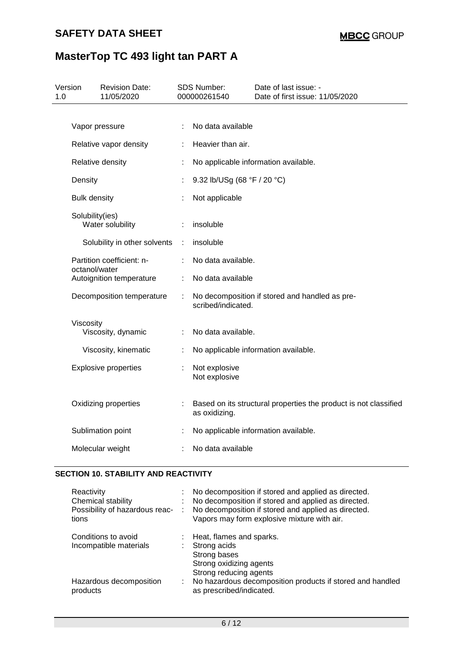| Version<br><b>Revision Date:</b><br>11/05/2020<br>1.0 |   | <b>SDS Number:</b><br>000000261540 | Date of last issue: -<br>Date of first issue: 11/05/2020         |  |
|-------------------------------------------------------|---|------------------------------------|------------------------------------------------------------------|--|
| Vapor pressure                                        |   | No data available                  |                                                                  |  |
|                                                       |   |                                    |                                                                  |  |
| Relative vapor density                                |   | Heavier than air.                  |                                                                  |  |
| Relative density                                      |   |                                    | No applicable information available.                             |  |
| Density                                               |   | 9.32 lb/USg (68 °F / 20 °C)        |                                                                  |  |
| <b>Bulk density</b>                                   |   | Not applicable                     |                                                                  |  |
| Solubility(ies)<br>Water solubility                   |   | insoluble                          |                                                                  |  |
| Solubility in other solvents                          | ÷ | insoluble                          |                                                                  |  |
| Partition coefficient: n-<br>octanol/water            |   | No data available.                 |                                                                  |  |
| Autoignition temperature                              |   | No data available                  |                                                                  |  |
| Decomposition temperature                             |   | scribed/indicated.                 | No decomposition if stored and handled as pre-                   |  |
| Viscosity                                             |   |                                    |                                                                  |  |
| Viscosity, dynamic                                    |   | No data available.                 |                                                                  |  |
| Viscosity, kinematic                                  |   |                                    | No applicable information available.                             |  |
| <b>Explosive properties</b>                           |   | Not explosive<br>Not explosive     |                                                                  |  |
| Oxidizing properties                                  |   | as oxidizing.                      | Based on its structural properties the product is not classified |  |
| Sublimation point                                     |   |                                    | No applicable information available.                             |  |
| Molecular weight                                      |   | No data available                  |                                                                  |  |

## **SECTION 10. STABILITY AND REACTIVITY**

| Reactivity<br>Chemical stability<br>Possibility of hazardous reac-<br>tions | $\sim 100$ | No decomposition if stored and applied as directed.<br>No decomposition if stored and applied as directed.<br>No decomposition if stored and applied as directed.<br>Vapors may form explosive mixture with air. |
|-----------------------------------------------------------------------------|------------|------------------------------------------------------------------------------------------------------------------------------------------------------------------------------------------------------------------|
| Conditions to avoid<br>Incompatible materials                               |            | : Heat, flames and sparks.<br>: Strong acids<br>Strong bases<br>Strong oxidizing agents<br>Strong reducing agents                                                                                                |
| Hazardous decomposition<br>products                                         |            | No hazardous decomposition products if stored and handled<br>as prescribed/indicated.                                                                                                                            |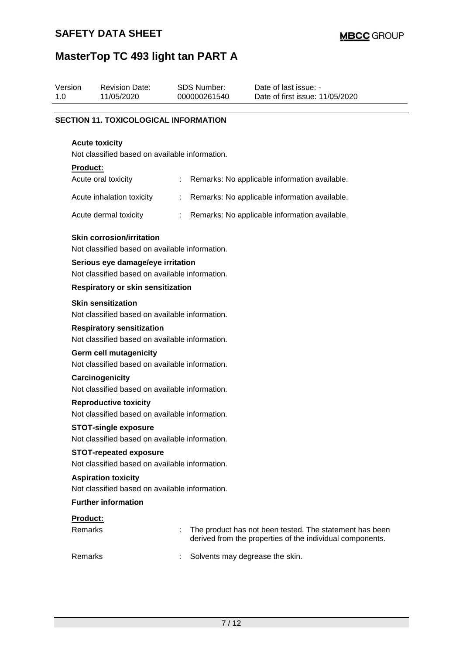| Version<br>1.0 |                                                                                 | <b>Revision Date:</b><br>11/05/2020                                                | <b>SDS Number:</b><br>000000261540 |  | Date of last issue: -<br>Date of first issue: 11/05/2020                                                             |  |  |
|----------------|---------------------------------------------------------------------------------|------------------------------------------------------------------------------------|------------------------------------|--|----------------------------------------------------------------------------------------------------------------------|--|--|
|                |                                                                                 |                                                                                    |                                    |  |                                                                                                                      |  |  |
|                |                                                                                 | <b>SECTION 11. TOXICOLOGICAL INFORMATION</b>                                       |                                    |  |                                                                                                                      |  |  |
|                |                                                                                 | <b>Acute toxicity</b><br>Not classified based on available information.            |                                    |  |                                                                                                                      |  |  |
|                | <b>Product:</b>                                                                 |                                                                                    |                                    |  |                                                                                                                      |  |  |
|                |                                                                                 | Acute oral toxicity                                                                |                                    |  | Remarks: No applicable information available.                                                                        |  |  |
|                |                                                                                 | Acute inhalation toxicity                                                          | ÷                                  |  | Remarks: No applicable information available.                                                                        |  |  |
|                |                                                                                 | Acute dermal toxicity                                                              | ÷.                                 |  | Remarks: No applicable information available.                                                                        |  |  |
|                |                                                                                 | <b>Skin corrosion/irritation</b><br>Not classified based on available information. |                                    |  |                                                                                                                      |  |  |
|                |                                                                                 | Serious eye damage/eye irritation                                                  |                                    |  |                                                                                                                      |  |  |
|                |                                                                                 | Not classified based on available information.                                     |                                    |  |                                                                                                                      |  |  |
|                |                                                                                 | <b>Respiratory or skin sensitization</b>                                           |                                    |  |                                                                                                                      |  |  |
|                |                                                                                 | <b>Skin sensitization</b><br>Not classified based on available information.        |                                    |  |                                                                                                                      |  |  |
|                |                                                                                 | <b>Respiratory sensitization</b><br>Not classified based on available information. |                                    |  |                                                                                                                      |  |  |
|                |                                                                                 | <b>Germ cell mutagenicity</b><br>Not classified based on available information.    |                                    |  |                                                                                                                      |  |  |
|                |                                                                                 | Carcinogenicity<br>Not classified based on available information.                  |                                    |  |                                                                                                                      |  |  |
|                | <b>Reproductive toxicity</b><br>Not classified based on available information.  |                                                                                    |                                    |  |                                                                                                                      |  |  |
|                |                                                                                 | <b>STOT-single exposure</b>                                                        |                                    |  |                                                                                                                      |  |  |
|                |                                                                                 | Not classified based on available information.                                     |                                    |  |                                                                                                                      |  |  |
|                | <b>STOT-repeated exposure</b><br>Not classified based on available information. |                                                                                    |                                    |  |                                                                                                                      |  |  |
|                |                                                                                 | <b>Aspiration toxicity</b><br>Not classified based on available information.       |                                    |  |                                                                                                                      |  |  |
|                |                                                                                 | <b>Further information</b>                                                         |                                    |  |                                                                                                                      |  |  |
|                | Product:                                                                        |                                                                                    |                                    |  |                                                                                                                      |  |  |
|                | <b>Remarks</b>                                                                  |                                                                                    |                                    |  | The product has not been tested. The statement has been<br>derived from the properties of the individual components. |  |  |
|                | Remarks                                                                         |                                                                                    |                                    |  | Solvents may degrease the skin.                                                                                      |  |  |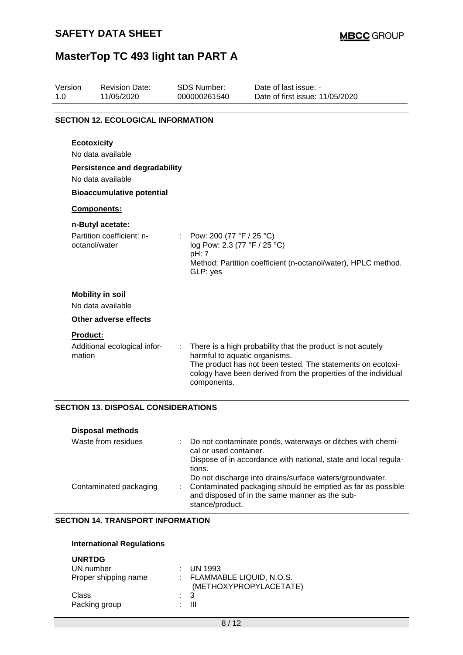| Version<br>1.0 | <b>Revision Date:</b><br>11/05/2020                       |   | <b>SDS Number:</b><br>000000261540                                            | Date of last issue: -<br>Date of first issue: 11/05/2020                                                                                                                                     |
|----------------|-----------------------------------------------------------|---|-------------------------------------------------------------------------------|----------------------------------------------------------------------------------------------------------------------------------------------------------------------------------------------|
|                | <b>SECTION 12. ECOLOGICAL INFORMATION</b>                 |   |                                                                               |                                                                                                                                                                                              |
|                | <b>Ecotoxicity</b><br>No data available                   |   |                                                                               |                                                                                                                                                                                              |
|                | <b>Persistence and degradability</b><br>No data available |   |                                                                               |                                                                                                                                                                                              |
|                | <b>Bioaccumulative potential</b>                          |   |                                                                               |                                                                                                                                                                                              |
|                | Components:                                               |   |                                                                               |                                                                                                                                                                                              |
|                | n-Butyl acetate:                                          |   |                                                                               |                                                                                                                                                                                              |
|                | Partition coefficient: n-<br>octanol/water                |   | Pow: 200 (77 °F / 25 °C)<br>log Pow: 2.3 (77 °F / 25 °C)<br>pH: 7<br>GLP: yes | Method: Partition coefficient (n-octanol/water), HPLC method.                                                                                                                                |
|                | <b>Mobility in soil</b><br>No data available              |   |                                                                               |                                                                                                                                                                                              |
|                | Other adverse effects                                     |   |                                                                               |                                                                                                                                                                                              |
|                | <b>Product:</b><br>Additional ecological infor-<br>mation | ÷ | harmful to aquatic organisms.<br>components.                                  | There is a high probability that the product is not acutely<br>The product has not been tested. The statements on ecotoxi-<br>cology have been derived from the properties of the individual |

### **SECTION 13. DISPOSAL CONSIDERATIONS**

| <b>Disposal methods</b> |                                                                                                                                                                                                                                                                             |
|-------------------------|-----------------------------------------------------------------------------------------------------------------------------------------------------------------------------------------------------------------------------------------------------------------------------|
| Waste from residues     | Do not contaminate ponds, waterways or ditches with chemi-<br>cal or used container.                                                                                                                                                                                        |
| Contaminated packaging  | Dispose of in accordance with national, state and local regula-<br>tions.<br>Do not discharge into drains/surface waters/groundwater.<br>: Contaminated packaging should be emptied as far as possible<br>and disposed of in the same manner as the sub-<br>stance/product. |

#### **SECTION 14. TRANSPORT INFORMATION**

#### **International Regulations**

| <b>UNRTDG</b><br>UN number<br>Proper shipping name | $\therefore$ UN 1993<br>: FLAMMABLE LIQUID, N.O.S.<br>(METHOXYPROPYLACETATE) |
|----------------------------------------------------|------------------------------------------------------------------------------|
| Class                                              | $\therefore$ 3                                                               |
| Packing group                                      | Ш                                                                            |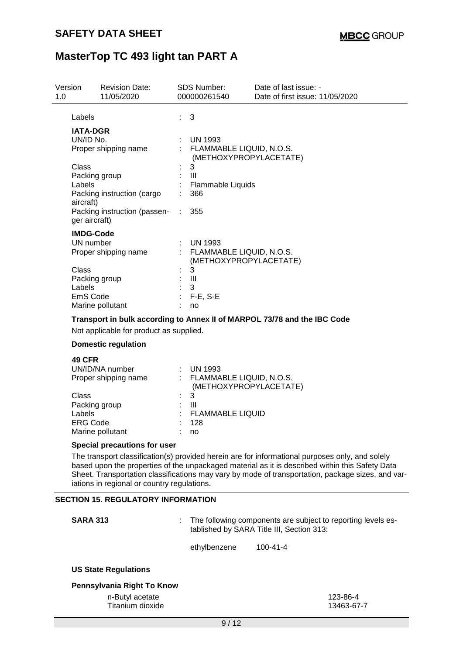| Version<br>1.0 |                                                                                                                     | <b>Revision Date:</b><br>11/05/2020     |  | <b>SDS Number:</b><br>000000261540                                     | Date of last issue: -<br>Date of first issue: 11/05/2020 |
|----------------|---------------------------------------------------------------------------------------------------------------------|-----------------------------------------|--|------------------------------------------------------------------------|----------------------------------------------------------|
|                | Labels                                                                                                              |                                         |  | 3                                                                      |                                                          |
|                | <b>IATA-DGR</b><br>UN/ID No.                                                                                        | Proper shipping name                    |  | <b>UN 1993</b><br>: FLAMMABLE LIQUID, N.O.S.                           |                                                          |
|                | Class<br>Packing group<br>Labels<br>aircraft)                                                                       | Packing instruction (cargo              |  | (METHOXYPROPYLACETATE)<br>3<br>Ш<br>Flammable Liquids<br>366           |                                                          |
|                | ger aircraft)                                                                                                       | Packing instruction (passen- :          |  | 355                                                                    |                                                          |
|                | <b>IMDG-Code</b><br>UN number                                                                                       | Proper shipping name                    |  | <b>UN 1993</b><br>: FLAMMABLE LIQUID, N.O.S.<br>(METHOXYPROPYLACETATE) |                                                          |
|                | Class<br>Packing group<br>Labels<br>EmS Code                                                                        | Marine pollutant                        |  | 3<br>$\mathbf{III}$<br>3<br>$F-E$ , S-E<br>no                          |                                                          |
|                | Transport in bulk according to Annex II of MARPOL 73/78 and the IBC Code<br>Not applicable for product as supplied. |                                         |  |                                                                        |                                                          |
|                |                                                                                                                     | <b>Domestic regulation</b>              |  |                                                                        |                                                          |
|                | <b>49 CFR</b>                                                                                                       | UN/ID/NA number<br>Proper shipping name |  | : UN 1993<br>: FLAMMABLE LIQUID, N.O.S.<br>(METHOXYPROPYLACETATE)      |                                                          |
|                | <b>Class</b><br>Packing group<br>Labels<br><b>ERG Code</b>                                                          | Marine pollutant                        |  | $\overline{3}$<br>Ш<br><b>FLAMMABLE LIQUID</b><br>128<br>no            |                                                          |

#### **Special precautions for user**

The transport classification(s) provided herein are for informational purposes only, and solely based upon the properties of the unpackaged material as it is described within this Safety Data Sheet. Transportation classifications may vary by mode of transportation, package sizes, and variations in regional or country regulations.

#### **SECTION 15. REGULATORY INFORMATION**

| <b>SARA 313</b>                                                   | : The following components are subject to reporting levels es-<br>tablished by SARA Title III, Section 313: |                |                        |
|-------------------------------------------------------------------|-------------------------------------------------------------------------------------------------------------|----------------|------------------------|
|                                                                   | ethylbenzene                                                                                                | $100 - 41 - 4$ |                        |
| <b>US State Regulations</b>                                       |                                                                                                             |                |                        |
| Pennsylvania Right To Know<br>n-Butyl acetate<br>Titanium dioxide |                                                                                                             |                | 123-86-4<br>13463-67-7 |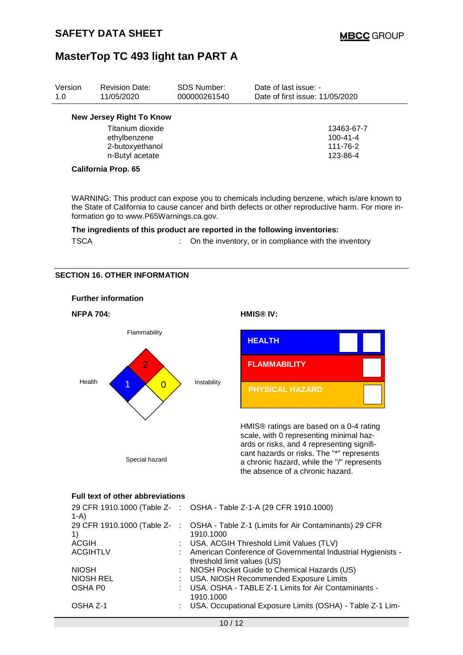| Version<br>1.0 | <b>Revision Date:</b><br>11/05/2020                                                                                                                | <b>SDS Number:</b><br>000000261540 | Date of last issue: -<br>Date of first issue: 11/05/2020                                                                                                                                         |  |  |  |
|----------------|----------------------------------------------------------------------------------------------------------------------------------------------------|------------------------------------|--------------------------------------------------------------------------------------------------------------------------------------------------------------------------------------------------|--|--|--|
|                | <b>New Jersey Right To Know</b><br>Titanium dioxide<br>ethylbenzene<br>2-butoxyethanol<br>n-Butyl acetate<br><b>California Prop. 65</b>            |                                    | 13463-67-7<br>$100 - 41 - 4$<br>111-76-2<br>123-86-4                                                                                                                                             |  |  |  |
|                | formation go to www.P65Warnings.ca.gov.                                                                                                            |                                    | WARNING: This product can expose you to chemicals including benzene, which is/are known to<br>the State of California to cause cancer and birth defects or other reproductive harm. For more in- |  |  |  |
|                | The ingredients of this product are reported in the following inventories:<br><b>TSCA</b><br>On the inventory, or in compliance with the inventory |                                    |                                                                                                                                                                                                  |  |  |  |
|                | <b>SECTION 16. OTHER INFORMATION</b>                                                                                                               |                                    |                                                                                                                                                                                                  |  |  |  |
|                | <b>Further information</b>                                                                                                                         |                                    |                                                                                                                                                                                                  |  |  |  |
|                | <b>NFPA 704:</b>                                                                                                                                   |                                    | HMIS® IV:                                                                                                                                                                                        |  |  |  |
|                | Flammability<br>$\overline{2}$                                                                                                                     |                                    | <b>HEALTH</b><br><b>FLAMMABILITY</b>                                                                                                                                                             |  |  |  |
| Health         | $\overline{0}$                                                                                                                                     | Instability                        | <b>PHYSICAL HAZARD</b>                                                                                                                                                                           |  |  |  |

HMIS® ratings are based on a 0-4 rating scale, with 0 representing minimal hazards or risks, and 4 representing significant hazards or risks. The "\*" represents a chronic hazard, while the "/" represents the absence of a chronic hazard.

### **Full text of other abbreviations**

Special hazard

| $1-A$            | 29 CFR 1910.1000 (Table Z-: OSHA - Table Z-1-A (29 CFR 1910.1000)                               |
|------------------|-------------------------------------------------------------------------------------------------|
| 1)               | 29 CFR 1910.1000 (Table Z- : OSHA - Table Z-1 (Limits for Air Contaminants) 29 CFR<br>1910.1000 |
| <b>ACGIH</b>     | : USA. ACGIH Threshold Limit Values (TLV)                                                       |
| <b>ACGIHTLV</b>  | : American Conference of Governmental Industrial Hygienists -<br>threshold limit values (US)    |
| <b>NIOSH</b>     | : NIOSH Pocket Guide to Chemical Hazards (US)                                                   |
| <b>NIOSH REL</b> | : USA. NIOSH Recommended Exposure Limits                                                        |
| OSHA P0          | : USA. OSHA - TABLE Z-1 Limits for Air Contaminants -<br>1910.1000                              |
| OSHA Z-1         | : USA. Occupational Exposure Limits (OSHA) - Table Z-1 Lim-                                     |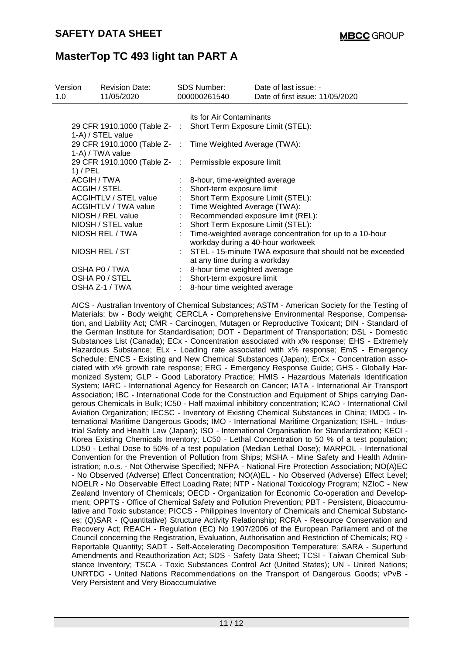| Version<br>1.0 |              | <b>Revision Date:</b><br>11/05/2020                                                 |                           | <b>SDS Number:</b><br>000000261540 | Date of last issue: -<br>Date of first issue: 11/05/2020                                     |
|----------------|--------------|-------------------------------------------------------------------------------------|---------------------------|------------------------------------|----------------------------------------------------------------------------------------------|
|                |              |                                                                                     |                           | its for Air Contaminants           |                                                                                              |
|                |              | 29 CFR 1910.1000 (Table Z- : Short Term Exposure Limit (STEL):<br>1-A) / STEL value |                           |                                    |                                                                                              |
|                |              | 29 CFR 1910.1000 (Table Z- : Time Weighted Average (TWA):<br>1-A) / TWA value       |                           |                                    |                                                                                              |
|                | $1)$ / PEL   | 29 CFR 1910.1000 (Table Z- : Permissible exposure limit                             |                           |                                    |                                                                                              |
|                | ACGIH / TWA  |                                                                                     |                           | : 8-hour, time-weighted average    |                                                                                              |
|                | ACGIH / STEL |                                                                                     |                           | Short-term exposure limit          |                                                                                              |
|                |              | ACGIHTLV / STEL value                                                               |                           | Short Term Exposure Limit (STEL):  |                                                                                              |
|                |              | ACGIHTLV / TWA value                                                                |                           | : Time Weighted Average (TWA):     |                                                                                              |
|                |              | NIOSH / REL value                                                                   |                           |                                    | Recommended exposure limit (REL):                                                            |
|                |              | NIOSH / STEL value                                                                  | $\mathbb{Z}^{\mathbb{Z}}$ | Short Term Exposure Limit (STEL):  |                                                                                              |
|                |              | NIOSH REL / TWA                                                                     |                           |                                    | Time-weighted average concentration for up to a 10-hour<br>workday during a 40-hour workweek |
|                |              | NIOSH REL / ST                                                                      |                           | at any time during a workday       | STEL - 15-minute TWA exposure that should not be exceeded                                    |
|                |              | OSHA P0 / TWA                                                                       |                           | 8-hour time weighted average       |                                                                                              |
|                |              | OSHA P0 / STEL                                                                      |                           | Short-term exposure limit          |                                                                                              |
|                |              | OSHA Z-1 / TWA                                                                      |                           | 8-hour time weighted average       |                                                                                              |

AICS - Australian Inventory of Chemical Substances; ASTM - American Society for the Testing of Materials; bw - Body weight; CERCLA - Comprehensive Environmental Response, Compensation, and Liability Act; CMR - Carcinogen, Mutagen or Reproductive Toxicant; DIN - Standard of the German Institute for Standardisation; DOT - Department of Transportation; DSL - Domestic Substances List (Canada); ECx - Concentration associated with x% response; EHS - Extremely Hazardous Substance; ELx - Loading rate associated with x% response; EmS - Emergency Schedule; ENCS - Existing and New Chemical Substances (Japan); ErCx - Concentration associated with x% growth rate response; ERG - Emergency Response Guide; GHS - Globally Harmonized System; GLP - Good Laboratory Practice; HMIS - Hazardous Materials Identification System; IARC - International Agency for Research on Cancer; IATA - International Air Transport Association; IBC - International Code for the Construction and Equipment of Ships carrying Dangerous Chemicals in Bulk; IC50 - Half maximal inhibitory concentration; ICAO - International Civil Aviation Organization; IECSC - Inventory of Existing Chemical Substances in China; IMDG - International Maritime Dangerous Goods; IMO - International Maritime Organization; ISHL - Industrial Safety and Health Law (Japan); ISO - International Organisation for Standardization; KECI - Korea Existing Chemicals Inventory; LC50 - Lethal Concentration to 50 % of a test population; LD50 - Lethal Dose to 50% of a test population (Median Lethal Dose); MARPOL - International Convention for the Prevention of Pollution from Ships; MSHA - Mine Safety and Health Administration; n.o.s. - Not Otherwise Specified; NFPA - National Fire Protection Association; NO(A)EC - No Observed (Adverse) Effect Concentration; NO(A)EL - No Observed (Adverse) Effect Level; NOELR - No Observable Effect Loading Rate; NTP - National Toxicology Program; NZIoC - New Zealand Inventory of Chemicals; OECD - Organization for Economic Co-operation and Development; OPPTS - Office of Chemical Safety and Pollution Prevention; PBT - Persistent, Bioaccumulative and Toxic substance; PICCS - Philippines Inventory of Chemicals and Chemical Substances; (Q)SAR - (Quantitative) Structure Activity Relationship; RCRA - Resource Conservation and Recovery Act; REACH - Regulation (EC) No 1907/2006 of the European Parliament and of the Council concerning the Registration, Evaluation, Authorisation and Restriction of Chemicals; RQ - Reportable Quantity; SADT - Self-Accelerating Decomposition Temperature; SARA - Superfund Amendments and Reauthorization Act; SDS - Safety Data Sheet; TCSI - Taiwan Chemical Substance Inventory; TSCA - Toxic Substances Control Act (United States); UN - United Nations; UNRTDG - United Nations Recommendations on the Transport of Dangerous Goods; vPvB - Very Persistent and Very Bioaccumulative